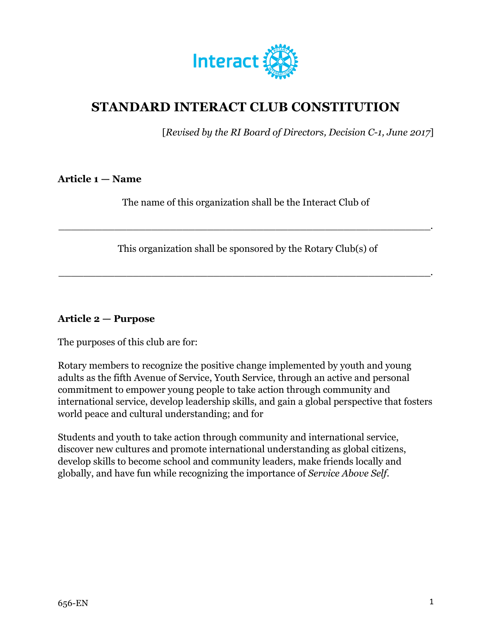

# **STANDARD INTERACT CLUB CONSTITUTION**

[*Revised by the RI Board of Directors, Decision C-1, June 2017*]

#### **Article 1 — Name**

The name of this organization shall be the Interact Club of

\_\_\_\_\_\_\_\_\_\_\_\_\_\_\_\_\_\_\_\_\_\_\_\_\_\_\_\_\_\_\_\_\_\_\_\_\_\_\_\_\_\_\_\_\_\_\_\_\_\_\_\_\_\_\_\_\_\_\_\_.

This organization shall be sponsored by the Rotary Club(s) of

\_\_\_\_\_\_\_\_\_\_\_\_\_\_\_\_\_\_\_\_\_\_\_\_\_\_\_\_\_\_\_\_\_\_\_\_\_\_\_\_\_\_\_\_\_\_\_\_\_\_\_\_\_\_\_\_\_\_\_\_.

#### **Article 2 — Purpose**

The purposes of this club are for:

Rotary members to recognize the positive change implemented by youth and young adults as the fifth Avenue of Service, Youth Service, through an active and personal commitment to empower young people to take action through community and international service, develop leadership skills, and gain a global perspective that fosters world peace and cultural understanding; and for

Students and youth to take action through community and international service, discover new cultures and promote international understanding as global citizens, develop skills to become school and community leaders, make friends locally and globally, and have fun while recognizing the importance of *Service Above Self*.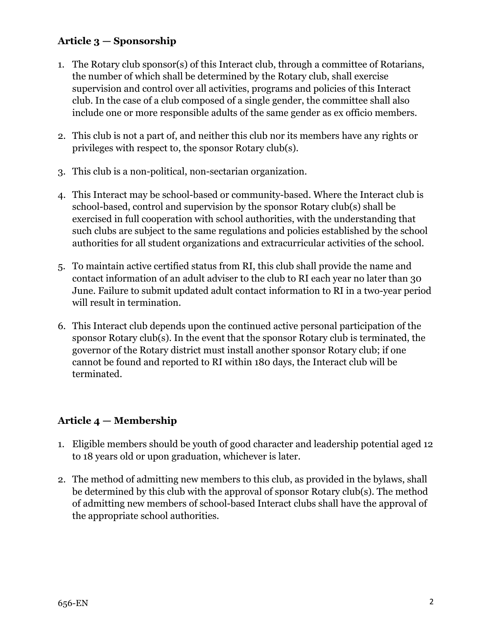# **Article 3 — Sponsorship**

- 1. The Rotary club sponsor(s) of this Interact club, through a committee of Rotarians, the number of which shall be determined by the Rotary club, shall exercise supervision and control over all activities, programs and policies of this Interact club. In the case of a club composed of a single gender, the committee shall also include one or more responsible adults of the same gender as ex officio members.
- 2. This club is not a part of, and neither this club nor its members have any rights or privileges with respect to, the sponsor Rotary club(s).
- 3. This club is a non-political, non-sectarian organization.
- 4. This Interact may be school-based or community-based. Where the Interact club is school-based, control and supervision by the sponsor Rotary club(s) shall be exercised in full cooperation with school authorities, with the understanding that such clubs are subject to the same regulations and policies established by the school authorities for all student organizations and extracurricular activities of the school.
- 5. To maintain active certified status from RI, this club shall provide the name and contact information of an adult adviser to the club to RI each year no later than 30 June. Failure to submit updated adult contact information to RI in a two-year period will result in termination.
- 6. This Interact club depends upon the continued active personal participation of the sponsor Rotary club(s). In the event that the sponsor Rotary club is terminated, the governor of the Rotary district must install another sponsor Rotary club; if one cannot be found and reported to RI within 180 days, the Interact club will be terminated.

## **Article 4 — Membership**

- 1. Eligible members should be youth of good character and leadership potential aged 12 to 18 years old or upon graduation, whichever is later.
- 2. The method of admitting new members to this club, as provided in the bylaws, shall be determined by this club with the approval of sponsor Rotary club(s). The method of admitting new members of school-based Interact clubs shall have the approval of the appropriate school authorities.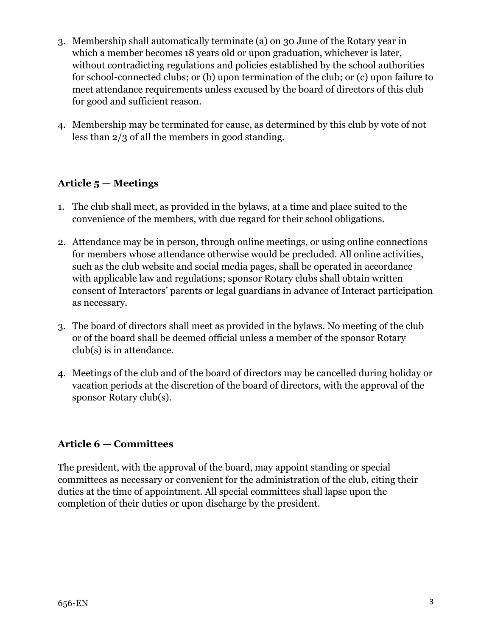- 3. Membership shall automatically terminate (a) on 30 June of the Rotary year in which a member becomes 18 years old or upon graduation, whichever is later, without contradicting regulations and policies established by the school authorities for school-connected clubs; or (b) upon termination of the club; or (c) upon failure to meet attendance requirements unless excused by the board of directors of this club for good and sufficient reason.
- 4. Membership may be terminated for cause, as determined by this club by vote of not less than 2/3 of all the members in good standing.

### **Article 5 — Meetings**

- 1. The club shall meet, as provided in the bylaws, at a time and place suited to the convenience of the members, with due regard for their school obligations.
- 2. Attendance may be in person, through online meetings, or using online connections for members whose attendance otherwise would be precluded. All online activities, such as the club website and social media pages, shall be operated in accordance with applicable law and regulations; sponsor Rotary clubs shall obtain written consent of Interactors' parents or legal guardians in advance of Interact participation as necessary.
- 3. The board of directors shall meet as provided in the bylaws. No meeting of the club or of the board shall be deemed official unless a member of the sponsor Rotary club(s) is in attendance.
- 4. Meetings of the club and of the board of directors may be cancelled during holiday or vacation periods at the discretion of the board of directors, with the approval of the sponsor Rotary club(s).

### **Article 6 — Committees**

The president, with the approval of the board, may appoint standing or special committees as necessary or convenient for the administration of the club, citing their duties at the time of appointment. All special committees shall lapse upon the completion of their duties or upon discharge by the president.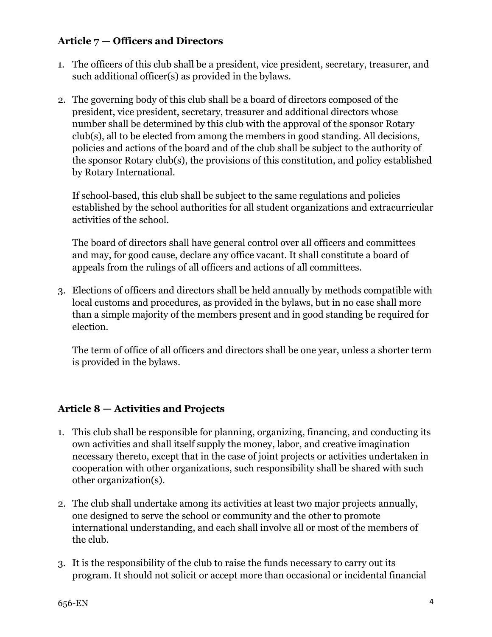### **Article 7 — Officers and Directors**

- 1. The officers of this club shall be a president, vice president, secretary, treasurer, and such additional officer(s) as provided in the bylaws.
- 2. The governing body of this club shall be a board of directors composed of the president, vice president, secretary, treasurer and additional directors whose number shall be determined by this club with the approval of the sponsor Rotary club(s), all to be elected from among the members in good standing. All decisions, policies and actions of the board and of the club shall be subject to the authority of the sponsor Rotary club(s), the provisions of this constitution, and policy established by Rotary International.

If school-based, this club shall be subject to the same regulations and policies established by the school authorities for all student organizations and extracurricular activities of the school.

The board of directors shall have general control over all officers and committees and may, for good cause, declare any office vacant. It shall constitute a board of appeals from the rulings of all officers and actions of all committees.

3. Elections of officers and directors shall be held annually by methods compatible with local customs and procedures, as provided in the bylaws, but in no case shall more than a simple majority of the members present and in good standing be required for election.

The term of office of all officers and directors shall be one year, unless a shorter term is provided in the bylaws.

## **Article 8 — Activities and Projects**

- 1. This club shall be responsible for planning, organizing, financing, and conducting its own activities and shall itself supply the money, labor, and creative imagination necessary thereto, except that in the case of joint projects or activities undertaken in cooperation with other organizations, such responsibility shall be shared with such other organization(s).
- 2. The club shall undertake among its activities at least two major projects annually, one designed to serve the school or community and the other to promote international understanding, and each shall involve all or most of the members of the club.
- 3. It is the responsibility of the club to raise the funds necessary to carry out its program. It should not solicit or accept more than occasional or incidental financial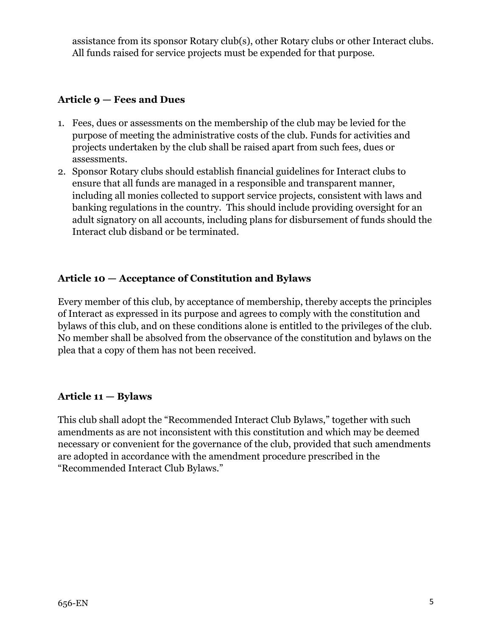assistance from its sponsor Rotary club(s), other Rotary clubs or other Interact clubs. All funds raised for service projects must be expended for that purpose.

### **Article 9 — Fees and Dues**

- 1. Fees, dues or assessments on the membership of the club may be levied for the purpose of meeting the administrative costs of the club. Funds for activities and projects undertaken by the club shall be raised apart from such fees, dues or assessments.
- 2. Sponsor Rotary clubs should establish financial guidelines for Interact clubs to ensure that all funds are managed in a responsible and transparent manner, including all monies collected to support service projects, consistent with laws and banking regulations in the country. This should include providing oversight for an adult signatory on all accounts, including plans for disbursement of funds should the Interact club disband or be terminated.

### **Article 10 — Acceptance of Constitution and Bylaws**

Every member of this club, by acceptance of membership, thereby accepts the principles of Interact as expressed in its purpose and agrees to comply with the constitution and bylaws of this club, and on these conditions alone is entitled to the privileges of the club. No member shall be absolved from the observance of the constitution and bylaws on the plea that a copy of them has not been received.

### **Article 11 — Bylaws**

This club shall adopt the "Recommended Interact Club Bylaws," together with such amendments as are not inconsistent with this constitution and which may be deemed necessary or convenient for the governance of the club, provided that such amendments are adopted in accordance with the amendment procedure prescribed in the "Recommended Interact Club Bylaws."